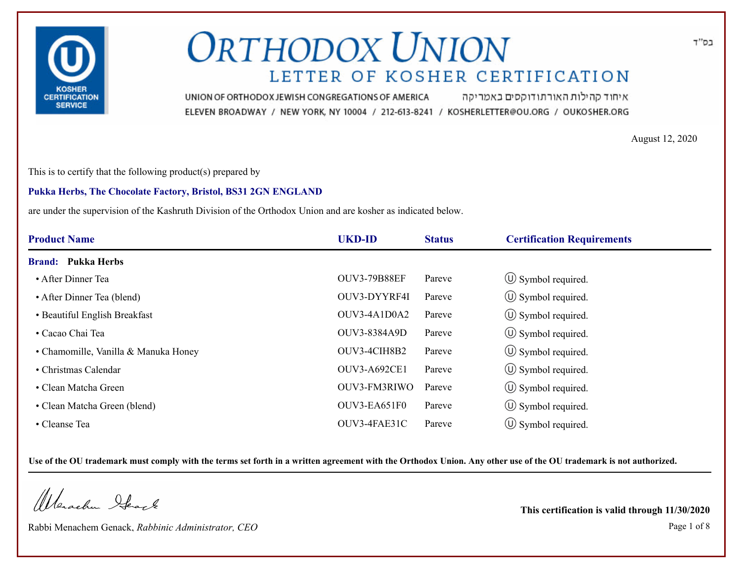

איחוד קהילות האורתודוקסים באמריקה UNION OF ORTHODOX JEWISH CONGREGATIONS OF AMERICA ELEVEN BROADWAY / NEW YORK, NY 10004 / 212-613-8241 / KOSHERLETTER@OU.ORG / OUKOSHER.ORG

August 12, 2020

This is to certify that the following product(s) prepared by

### **Pukka Herbs, The Chocolate Factory, Bristol, BS31 2GN ENGLAND**

are under the supervision of the Kashruth Division of the Orthodox Union and are kosher as indicated below.

| <b>Product Name</b>                  | <b>UKD-ID</b>       | <b>Status</b> | <b>Certification Requirements</b> |  |
|--------------------------------------|---------------------|---------------|-----------------------------------|--|
| <b>Brand:</b> Pukka Herbs            |                     |               |                                   |  |
| • After Dinner Tea                   | <b>OUV3-79B88EF</b> | Pareve        | $\circ$ Symbol required.          |  |
| • After Dinner Tea (blend)           | OUV3-DYYRF4I        | Pareve        | $\circled{1}$ Symbol required.    |  |
| • Beautiful English Breakfast        | OUV3-4A1D0A2        | Pareve        | $\circled{1}$ Symbol required.    |  |
| • Cacao Chai Tea                     | OUV3-8384A9D        | Pareve        | $\circ$ Symbol required.          |  |
| • Chamomille, Vanilla & Manuka Honey | OUV3-4CIH8B2        | Pareve        | $\circled{1}$ Symbol required.    |  |
| • Christmas Calendar                 | <b>OUV3-A692CE1</b> | Pareve        | $\circled{1}$ Symbol required.    |  |
| • Clean Matcha Green                 | OUV3-FM3RIWO        | Pareve        | $\circ$ Symbol required.          |  |
| • Clean Matcha Green (blend)         | OUV3-EA651F0        | Pareve        | $\circled{1}$ Symbol required.    |  |
| • Cleanse Tea                        | OUV3-4FAE31C        | Pareve        | $(U)$ Symbol required.            |  |

**Use of the OU trademark must comply with the terms set forth in a written agreement with the Orthodox Union. Any other use of the OU trademark is not authorized.**

Werschn Stack

Rabbi Menachem Genack, *Rabbinic Administrator, CEO* Page 1 of 8

**This certification is valid through 11/30/2020**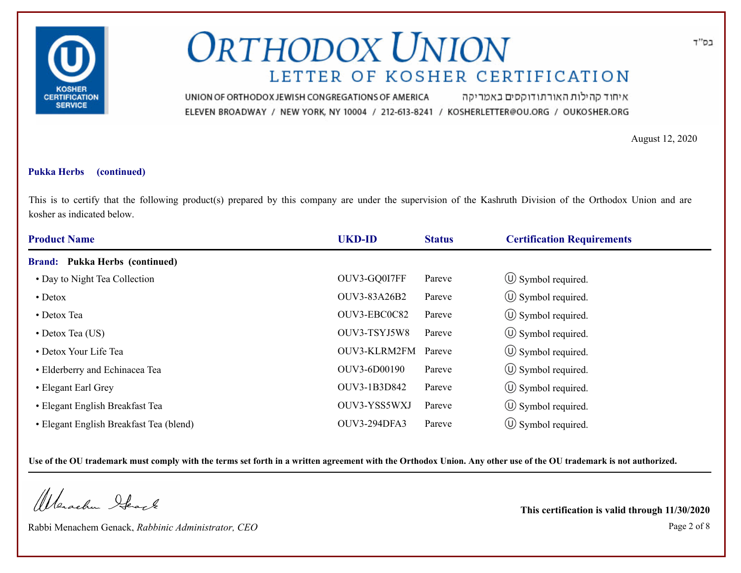

איחוד קהילות האורתודוקסים באמריקה UNION OF ORTHODOX JEWISH CONGREGATIONS OF AMERICA ELEVEN BROADWAY / NEW YORK, NY 10004 / 212-613-8241 / KOSHERLETTER@OU.ORG / OUKOSHER.ORG

August 12, 2020

### **Pukka Herbs (continued)**

This is to certify that the following product(s) prepared by this company are under the supervision of the Kashruth Division of the Orthodox Union and are kosher as indicated below.

| <b>Product Name</b>                     | <b>UKD-ID</b>       | <b>Status</b> | <b>Certification Requirements</b> |  |
|-----------------------------------------|---------------------|---------------|-----------------------------------|--|
| <b>Brand:</b> Pukka Herbs (continued)   |                     |               |                                   |  |
| • Day to Night Tea Collection           | OUV3-GQ0I7FF        | Pareve        | $\circ$ Symbol required.          |  |
| $\bullet$ Detox                         | OUV3-83A26B2        | Pareve        | $\circled{1}$ Symbol required.    |  |
| • Detox Tea                             | OUV3-EBC0C82        | Pareve        | $\circ$ Symbol required.          |  |
| • Detox Tea (US)                        | OUV3-TSYJ5W8        | Pareve        | $\circ$ Symbol required.          |  |
| • Detox Your Life Tea                   | OUV3-KLRM2FM Pareve |               | $\circ$ Symbol required.          |  |
| • Elderberry and Echinacea Tea          | OUV3-6D00190        | Pareve        | $\circled{1}$ Symbol required.    |  |
| • Elegant Earl Grey                     | OUV3-1B3D842        | Pareve        | $\circled{1}$ Symbol required.    |  |
| • Elegant English Breakfast Tea         | OUV3-YSS5WXJ        | Pareve        | $\circ$ Symbol required.          |  |
| • Elegant English Breakfast Tea (blend) | <b>OUV3-294DFA3</b> | Pareve        | $(\cup)$ Symbol required.         |  |

**Use of the OU trademark must comply with the terms set forth in a written agreement with the Orthodox Union. Any other use of the OU trademark is not authorized.**

Werachen Ifearle

Rabbi Menachem Genack, *Rabbinic Administrator, CEO* Page 2 of 8

**This certification is valid through 11/30/2020**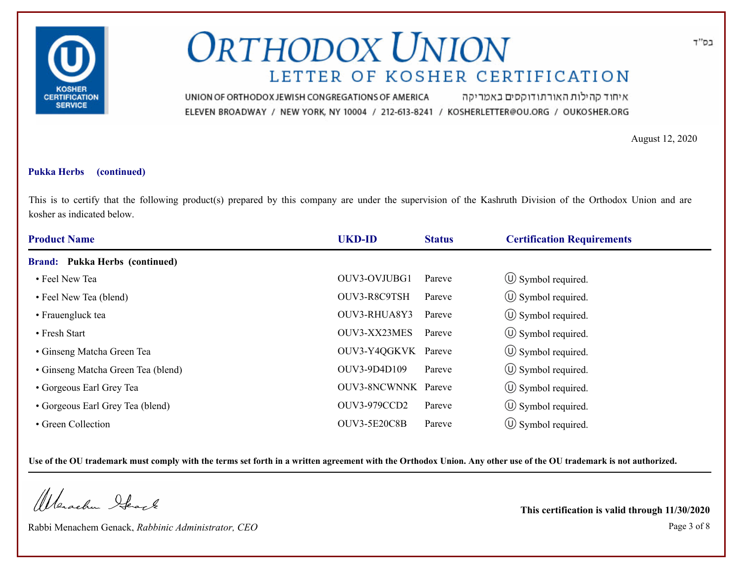

איחוד קהילות האורתודוקסים באמריקה UNION OF ORTHODOX JEWISH CONGREGATIONS OF AMERICA ELEVEN BROADWAY / NEW YORK, NY 10004 / 212-613-8241 / KOSHERLETTER@OU.ORG / OUKOSHER.ORG

August 12, 2020

### **Pukka Herbs (continued)**

This is to certify that the following product(s) prepared by this company are under the supervision of the Kashruth Division of the Orthodox Union and are kosher as indicated below.

| <b>Product Name</b>                   | <b>UKD-ID</b>       | <b>Status</b> | <b>Certification Requirements</b> |  |
|---------------------------------------|---------------------|---------------|-----------------------------------|--|
| <b>Brand:</b> Pukka Herbs (continued) |                     |               |                                   |  |
| • Feel New Tea                        | OUV3-OVJUBG1        | Pareve        | $\circ$ Symbol required.          |  |
| • Feel New Tea (blend)                | OUV3-R8C9TSH        | Pareve        | $\circ$ Symbol required.          |  |
| • Frauengluck tea                     | OUV3-RHUA8Y3        | Pareve        | $\circ$ Symbol required.          |  |
| • Fresh Start                         | OUV3-XX23MES        | Pareve        | $\circ$ Symbol required.          |  |
| • Ginseng Matcha Green Tea            | OUV3-Y4QGKVK Pareve |               | $\circ$ Symbol required.          |  |
| • Ginseng Matcha Green Tea (blend)    | OUV3-9D4D109        | Pareve        | $\circled{1}$ Symbol required.    |  |
| • Gorgeous Earl Grey Tea              | OUV3-8NCWNNK Pareve |               | $\circ$ Symbol required.          |  |
| • Gorgeous Earl Grey Tea (blend)      | <b>OUV3-979CCD2</b> | Pareve        | $\circ$ Symbol required.          |  |
| • Green Collection                    | OUV3-5E20C8B        | Pareve        | $(\cup)$ Symbol required.         |  |

**Use of the OU trademark must comply with the terms set forth in a written agreement with the Orthodox Union. Any other use of the OU trademark is not authorized.**

Werachen Stack

Rabbi Menachem Genack, *Rabbinic Administrator, CEO* Page 3 of 8

**This certification is valid through 11/30/2020**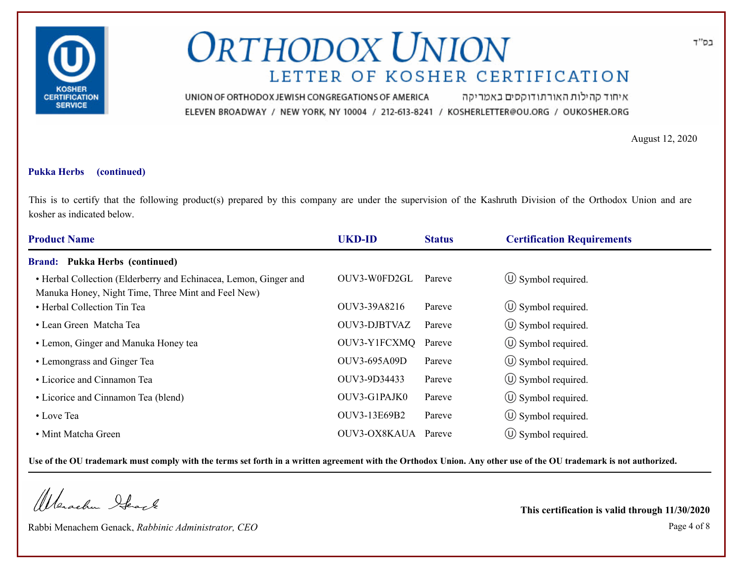

איחוד קהילות האורתודוקסים באמריקה UNION OF ORTHODOX JEWISH CONGREGATIONS OF AMERICA ELEVEN BROADWAY / NEW YORK, NY 10004 / 212-613-8241 / KOSHERLETTER@OU.ORG / OUKOSHER.ORG

August 12, 2020

### **Pukka Herbs (continued)**

This is to certify that the following product(s) prepared by this company are under the supervision of the Kashruth Division of the Orthodox Union and are kosher as indicated below.

| <b>Product Name</b>                                                                                                    | <b>UKD-ID</b> | <b>Status</b> | <b>Certification Requirements</b> |
|------------------------------------------------------------------------------------------------------------------------|---------------|---------------|-----------------------------------|
| <b>Brand:</b> Pukka Herbs (continued)                                                                                  |               |               |                                   |
| • Herbal Collection (Elderberry and Echinacea, Lemon, Ginger and<br>Manuka Honey, Night Time, Three Mint and Feel New) | OUV3-W0FD2GL  | Pareve        | $\circled{1}$ Symbol required.    |
| • Herbal Collection Tin Tea                                                                                            | OUV3-39A8216  | Pareve        | $\circ$ Symbol required.          |
| • Lean Green Matcha Tea                                                                                                | OUV3-DJBTVAZ  | Pareve        | $\circ$ Symbol required.          |
| • Lemon, Ginger and Manuka Honey tea                                                                                   | OUV3-Y1FCXMQ  | Pareve        | $\circled{0}$ Symbol required.    |
| • Lemongrass and Ginger Tea                                                                                            | OUV3-695A09D  | Pareve        | (U) Symbol required.              |
| • Licorice and Cinnamon Tea                                                                                            | OUV3-9D34433  | Pareve        | $\circled{1}$ Symbol required.    |
| • Licorice and Cinnamon Tea (blend)                                                                                    | OUV3-G1PAJK0  | Pareve        | $\circ$ Symbol required.          |
| • Love Tea                                                                                                             | OUV3-13E69B2  | Pareve        | $\circled{1}$ Symbol required.    |
| • Mint Matcha Green                                                                                                    | OUV3-OX8KAUA  | Pareve        | $\circ$ Symbol required.          |

**Use of the OU trademark must comply with the terms set forth in a written agreement with the Orthodox Union. Any other use of the OU trademark is not authorized.**

Werachen Stack

Rabbi Menachem Genack, *Rabbinic Administrator, CEO* Page 4 of 8

**This certification is valid through 11/30/2020**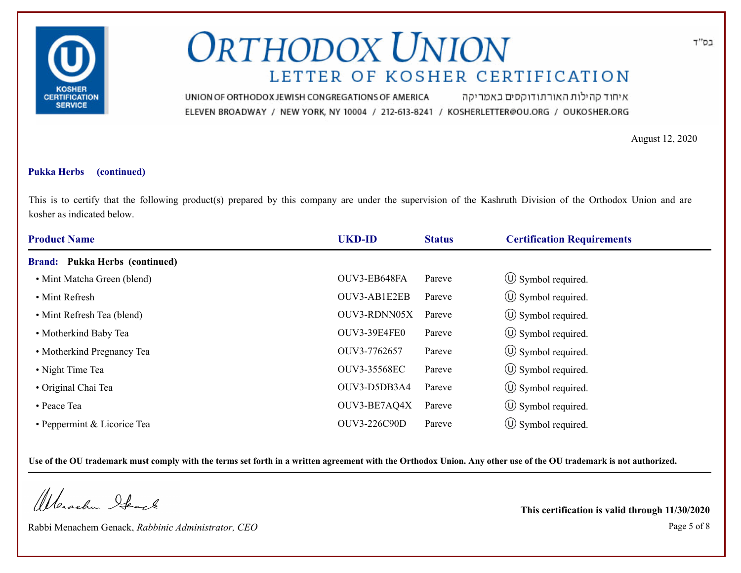

איחוד קהילות האורתודוקסים באמריקה UNION OF ORTHODOX JEWISH CONGREGATIONS OF AMERICA ELEVEN BROADWAY / NEW YORK, NY 10004 / 212-613-8241 / KOSHERLETTER@OU.ORG / OUKOSHER.ORG

August 12, 2020

### **Pukka Herbs (continued)**

This is to certify that the following product(s) prepared by this company are under the supervision of the Kashruth Division of the Orthodox Union and are kosher as indicated below.

| <b>Product Name</b>                   | <b>UKD-ID</b> | <b>Status</b> | <b>Certification Requirements</b> |
|---------------------------------------|---------------|---------------|-----------------------------------|
| <b>Brand:</b> Pukka Herbs (continued) |               |               |                                   |
| • Mint Matcha Green (blend)           | OUV3-EB648FA  | Pareve        | $\circ$ Symbol required.          |
| • Mint Refresh                        | OUV3-AB1E2EB  | Pareve        | $\circ$ Symbol required.          |
| • Mint Refresh Tea (blend)            | OUV3-RDNN05X  | Pareve        | $\circ$ Symbol required.          |
| • Motherkind Baby Tea                 | OUV3-39E4FE0  | Pareve        | $\circ$ Symbol required.          |
| • Motherkind Pregnancy Tea            | OUV3-7762657  | Pareve        | $\circ$ Symbol required.          |
| • Night Time Tea                      | OUV3-35568EC  | Pareve        | $\circled{1}$ Symbol required.    |
| • Original Chai Tea                   | OUV3-D5DB3A4  | Pareve        | $\circled{1}$ Symbol required.    |
| • Peace Tea                           | OUV3-BE7AQ4X  | Pareve        | $\circ$ Symbol required.          |
| • Peppermint & Licorice Tea           | OUV3-226C90D  | Pareve        | $\left(\bigcup$ Symbol required.  |

**Use of the OU trademark must comply with the terms set forth in a written agreement with the Orthodox Union. Any other use of the OU trademark is not authorized.**

Werachen Stack

Rabbi Menachem Genack, *Rabbinic Administrator, CEO* Page 5 of 8

**This certification is valid through 11/30/2020**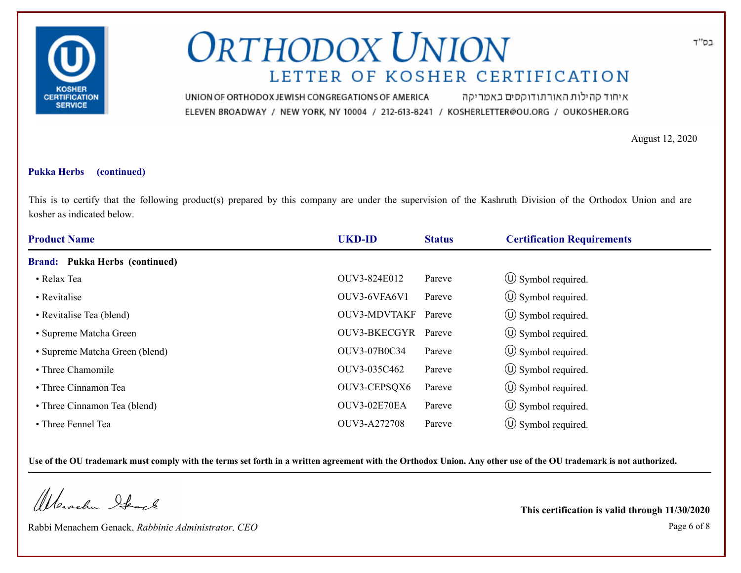

איחוד קהילות האורתודוקסים באמריקה UNION OF ORTHODOX JEWISH CONGREGATIONS OF AMERICA ELEVEN BROADWAY / NEW YORK, NY 10004 / 212-613-8241 / KOSHERLETTER@OU.ORG / OUKOSHER.ORG

August 12, 2020

### **Pukka Herbs (continued)**

This is to certify that the following product(s) prepared by this company are under the supervision of the Kashruth Division of the Orthodox Union and are kosher as indicated below.

| <b>Product Name</b>                   | <b>UKD-ID</b>       | <b>Status</b> | <b>Certification Requirements</b> |  |
|---------------------------------------|---------------------|---------------|-----------------------------------|--|
| <b>Brand:</b> Pukka Herbs (continued) |                     |               |                                   |  |
| • Relax Tea                           | OUV3-824E012        | Pareve        | $\circled{1}$ Symbol required.    |  |
| • Revitalise                          | OUV3-6VFA6V1        | Pareve        | $\circ$ Symbol required.          |  |
| • Revitalise Tea (blend)              | <b>OUV3-MDVTAKF</b> | Pareve        | $\circ$ Symbol required.          |  |
| • Supreme Matcha Green                | <b>OUV3-BKECGYR</b> | Pareve        | $\circ$ Symbol required.          |  |
| • Supreme Matcha Green (blend)        | OUV3-07B0C34        | Pareve        | $\circ$ Symbol required.          |  |
| • Three Chamomile                     | OUV3-035C462        | Pareve        | $\circ$ Symbol required.          |  |
| • Three Cinnamon Tea                  | OUV3-CEPSQX6        | Pareve        | $\circled{1}$ Symbol required.    |  |
| • Three Cinnamon Tea (blend)          | OUV3-02E70EA        | Pareve        | $\circled{1}$ Symbol required.    |  |
| • Three Fennel Tea                    | OUV3-A272708        | Pareve        | $(\cup)$ Symbol required.         |  |

**Use of the OU trademark must comply with the terms set forth in a written agreement with the Orthodox Union. Any other use of the OU trademark is not authorized.**

Werachen Stack

Rabbi Menachem Genack, *Rabbinic Administrator, CEO* Page 6 of 8

**This certification is valid through 11/30/2020**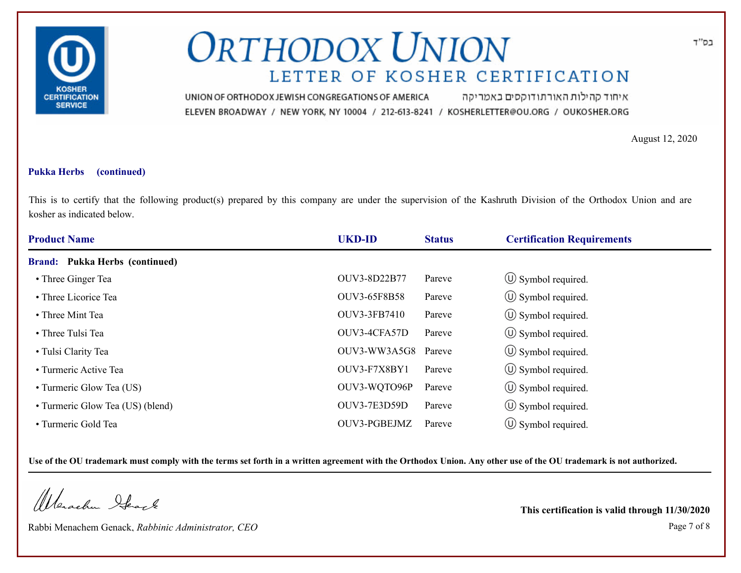

איחוד קהילות האורתודוקסים באמריקה UNION OF ORTHODOX JEWISH CONGREGATIONS OF AMERICA ELEVEN BROADWAY / NEW YORK, NY 10004 / 212-613-8241 / KOSHERLETTER@OU.ORG / OUKOSHER.ORG

August 12, 2020

### **Pukka Herbs (continued)**

This is to certify that the following product(s) prepared by this company are under the supervision of the Kashruth Division of the Orthodox Union and are kosher as indicated below.

| <b>Product Name</b>                   | <b>UKD-ID</b>       | <b>Status</b> | <b>Certification Requirements</b> |
|---------------------------------------|---------------------|---------------|-----------------------------------|
| <b>Brand:</b> Pukka Herbs (continued) |                     |               |                                   |
| • Three Ginger Tea                    | OUV3-8D22B77        | Pareve        | $\circ$ Symbol required.          |
| • Three Licorice Tea                  | OUV3-65F8B58        | Pareve        | $\circled{1}$ Symbol required.    |
| • Three Mint Tea                      | OUV3-3FB7410        | Pareve        | $\circ$ Symbol required.          |
| • Three Tulsi Tea                     | OUV3-4CFA57D        | Pareve        | $\circ$ Symbol required.          |
| • Tulsi Clarity Tea                   | OUV3-WW3A5G8        | Pareve        | $\circ$ Symbol required.          |
| • Turmeric Active Tea                 | OUV3-F7X8BY1        | Pareve        | $\circled{1}$ Symbol required.    |
| • Turmeric Glow Tea (US)              | OUV3-WQTO96P        | Pareve        | $\circ$ Symbol required.          |
| • Turmeric Glow Tea (US) (blend)      | <b>OUV3-7E3D59D</b> | Pareve        | $\circ$ Symbol required.          |
| • Turmeric Gold Tea                   | OUV3-PGBEJMZ        | Pareve        | $(\cup)$ Symbol required.         |

**Use of the OU trademark must comply with the terms set forth in a written agreement with the Orthodox Union. Any other use of the OU trademark is not authorized.**

Werachen Stack

Rabbi Menachem Genack, *Rabbinic Administrator, CEO* Page 7 of 8

**This certification is valid through 11/30/2020**